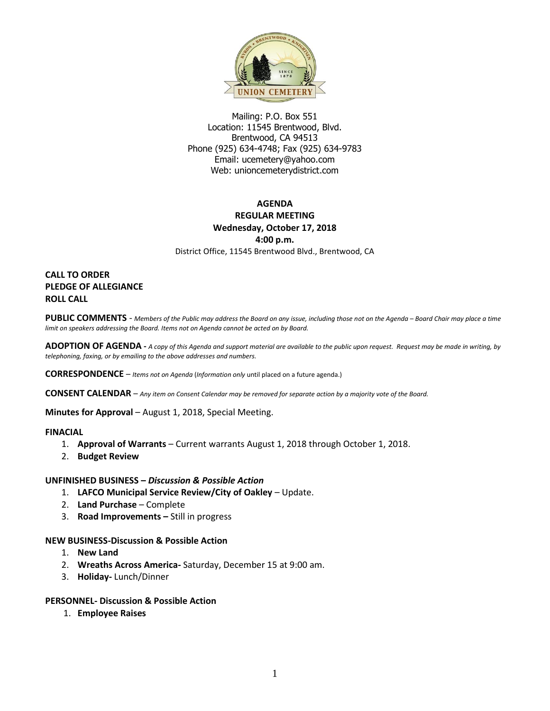

Mailing: P.O. Box 551 Location: 11545 Brentwood, Blvd. Brentwood, CA 94513 Phone (925) 634-4748; Fax (925) 634-9783 Email: [ucemetery@yahoo.com](mailto:ucemetery@yahoo.com) Web: unioncemeterydistrict.com

# **AGENDA REGULAR MEETING Wednesday, October 17, 2018 4:00 p.m.**

District Office, 11545 Brentwood Blvd., Brentwood, CA

# **CALL TO ORDER PLEDGE OF ALLEGIANCE ROLL CALL**

PUBLIC COMMENTS - Members of the Public may address the Board on any issue, including those not on the Agenda - Board Chair may place a time *limit on speakers addressing the Board. Items not on Agenda cannot be acted on by Board.* 

**ADOPTION OF AGENDA -** *A copy of this Agenda and support material are available to the public upon request. Request may be made in writing, by telephoning, faxing, or by emailing to the above addresses and numbers.*

**CORRESPONDENCE** *– Items not on Agenda* (*Information only* until placed on a future agenda.)

**CONSENT CALENDAR** – *Any item on Consent Calendar may be removed for separate action by a majority vote of the Board.*

**Minutes for Approval** – August 1, 2018, Special Meeting.

## **FINACIAL**

- 1. **Approval of Warrants**  Current warrants August 1, 2018 through October 1, 2018.
- 2. **Budget Review**

## **UNFINISHED BUSINESS –** *Discussion & Possible Action*

- 1. **LAFCO Municipal Service Review/City of Oakley** Update.
- 2. **Land Purchase** Complete
- 3. **Road Improvements –** Still in progress

## **NEW BUSINESS-Discussion & Possible Action**

- 1. **New Land**
- 2. **Wreaths Across America-** Saturday, December 15 at 9:00 am.
- 3. **Holiday-** Lunch/Dinner

#### **PERSONNEL- Discussion & Possible Action**

1. **Employee Raises**